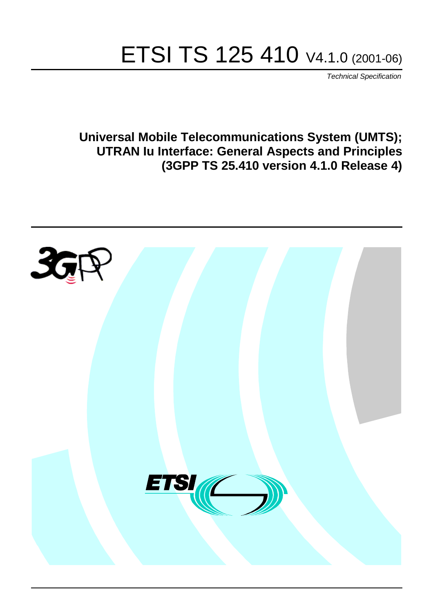# ETSI TS 125 410 V4.1.0 (2001-06)

Technical Specification

**Universal Mobile Telecommunications System (UMTS); UTRAN Iu Interface: General Aspects and Principles (3GPP TS 25.410 version 4.1.0 Release 4)**

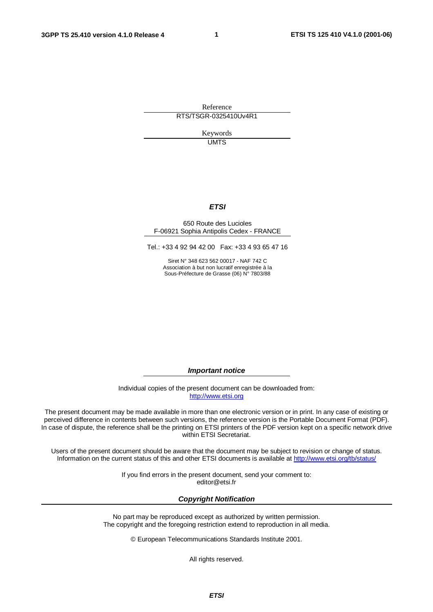**1**

Reference RTS/TSGR-0325410Uv4R1

> Keywords **UMTS**

#### **ETSI**

#### 650 Route des Lucioles F-06921 Sophia Antipolis Cedex - FRANCE

Tel.: +33 4 92 94 42 00 Fax: +33 4 93 65 47 16

Siret N° 348 623 562 00017 - NAF 742 C Association à but non lucratif enregistrée à la Sous-Préfecture de Grasse (06) N° 7803/88

**Important notice**

Individual copies of the present document can be downloaded from: [http://www.etsi.org](http://www.etsi.org/)

The present document may be made available in more than one electronic version or in print. In any case of existing or perceived difference in contents between such versions, the reference version is the Portable Document Format (PDF). In case of dispute, the reference shall be the printing on ETSI printers of the PDF version kept on a specific network drive within ETSI Secretariat.

Users of the present document should be aware that the document may be subject to revision or change of status. Information on the current status of this and other ETSI documents is available at <http://www.etsi.org/tb/status>/

> If you find errors in the present document, send your comment to: <editor@etsi.fr>

#### **Copyright Notification**

No part may be reproduced except as authorized by written permission. The copyright and the foregoing restriction extend to reproduction in all media.

© European Telecommunications Standards Institute 2001.

All rights reserved.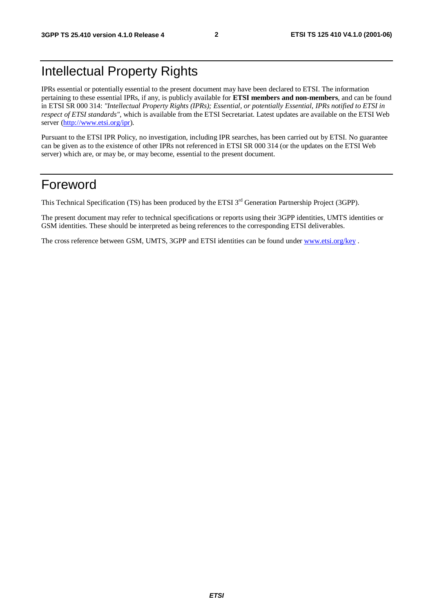# Intellectual Property Rights

IPRs essential or potentially essential to the present document may have been declared to ETSI. The information pertaining to these essential IPRs, if any, is publicly available for **ETSI members and non-members**, and can be found in ETSI SR 000 314: *"Intellectual Property Rights (IPRs); Essential, or potentially Essential, IPRs notified to ETSI in respect of ETSI standards"*, which is available from the ETSI Secretariat. Latest updates are available on the ETSI Web server [\(http://www.etsi.org/ipr\)](http://www.etsi.org/ipr).

Pursuant to the ETSI IPR Policy, no investigation, including IPR searches, has been carried out by ETSI. No guarantee can be given as to the existence of other IPRs not referenced in ETSI SR 000 314 (or the updates on the ETSI Web server) which are, or may be, or may become, essential to the present document.

# Foreword

This Technical Specification (TS) has been produced by the ETSI 3<sup>rd</sup> Generation Partnership Project (3GPP).

The present document may refer to technical specifications or reports using their 3GPP identities, UMTS identities or GSM identities. These should be interpreted as being references to the corresponding ETSI deliverables.

The cross reference between GSM, UMTS, 3GPP and ETSI identities can be found under [www.etsi.org/key](http://www.etsi.org/key) .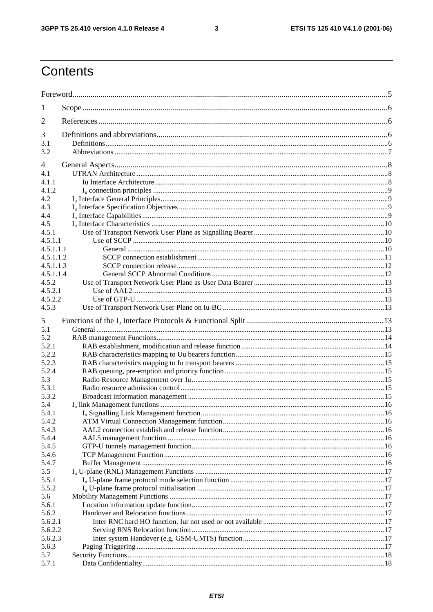$\overline{\mathbf{3}}$ 

# Contents

| 1              |  |  |  |  |  |  |
|----------------|--|--|--|--|--|--|
| 2              |  |  |  |  |  |  |
| 3              |  |  |  |  |  |  |
| 3.1            |  |  |  |  |  |  |
| 3.2            |  |  |  |  |  |  |
| 4              |  |  |  |  |  |  |
| 4.1            |  |  |  |  |  |  |
| 4.1.1          |  |  |  |  |  |  |
| 4.1.2          |  |  |  |  |  |  |
| 4.2            |  |  |  |  |  |  |
| 4.3            |  |  |  |  |  |  |
| 4.4            |  |  |  |  |  |  |
| 4.5            |  |  |  |  |  |  |
| 4.5.1          |  |  |  |  |  |  |
| 4.5.1.1        |  |  |  |  |  |  |
| 4.5.1.1.1      |  |  |  |  |  |  |
| 4.5.1.1.2      |  |  |  |  |  |  |
| 4.5.1.1.3      |  |  |  |  |  |  |
| 4.5.1.1.4      |  |  |  |  |  |  |
| 4.5.2          |  |  |  |  |  |  |
| 4.5.2.1        |  |  |  |  |  |  |
| 4.5.2.2        |  |  |  |  |  |  |
| 4.5.3          |  |  |  |  |  |  |
| 5              |  |  |  |  |  |  |
| 5.1            |  |  |  |  |  |  |
| 5.2            |  |  |  |  |  |  |
| 5.2.1          |  |  |  |  |  |  |
| 5.2.2          |  |  |  |  |  |  |
| 5.2.3          |  |  |  |  |  |  |
| 5.2.4          |  |  |  |  |  |  |
| 5.3            |  |  |  |  |  |  |
| 5.3.1          |  |  |  |  |  |  |
| 5.3.2          |  |  |  |  |  |  |
| 5.4            |  |  |  |  |  |  |
| 5.4.1          |  |  |  |  |  |  |
| 5.4.2<br>5.4.3 |  |  |  |  |  |  |
| 5.4.4          |  |  |  |  |  |  |
| 5.4.5          |  |  |  |  |  |  |
| 5.4.6          |  |  |  |  |  |  |
| 5.4.7          |  |  |  |  |  |  |
| 5.5            |  |  |  |  |  |  |
| 5.5.1          |  |  |  |  |  |  |
| 5.5.2          |  |  |  |  |  |  |
| 5.6            |  |  |  |  |  |  |
| 5.6.1          |  |  |  |  |  |  |
| 5.6.2          |  |  |  |  |  |  |
| 5.6.2.1        |  |  |  |  |  |  |
| 5.6.2.2        |  |  |  |  |  |  |
| 5.6.2.3        |  |  |  |  |  |  |
| 5.6.3          |  |  |  |  |  |  |
| 5.7            |  |  |  |  |  |  |
| 5.7.1          |  |  |  |  |  |  |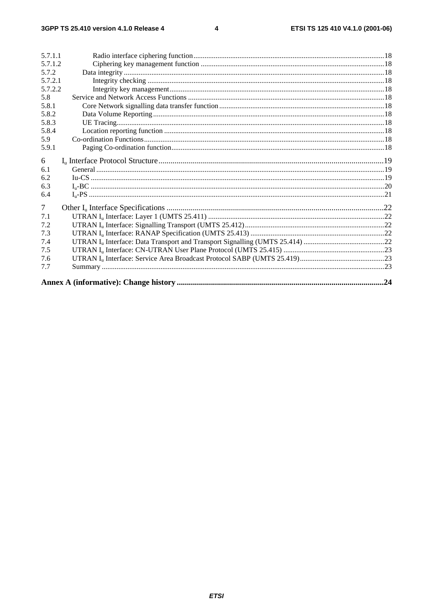$\overline{\mathbf{4}}$ 

| 5.7.1.1 |     |
|---------|-----|
| 5.7.1.2 |     |
| 5.7.2   |     |
| 5.7.2.1 |     |
| 5.7.2.2 |     |
| 5.8     |     |
| 5.8.1   |     |
| 5.8.2   |     |
| 5.8.3   |     |
| 5.8.4   |     |
| 5.9     |     |
| 5.9.1   |     |
| 6       |     |
| 6.1     |     |
| 6.2     |     |
| 6.3     |     |
| 6.4     |     |
| $\tau$  |     |
| 7.1     |     |
| 7.2     |     |
| 7.3     |     |
| 7.4     |     |
| 7.5     |     |
| 7.6     |     |
| 7.7     |     |
|         | .24 |
|         |     |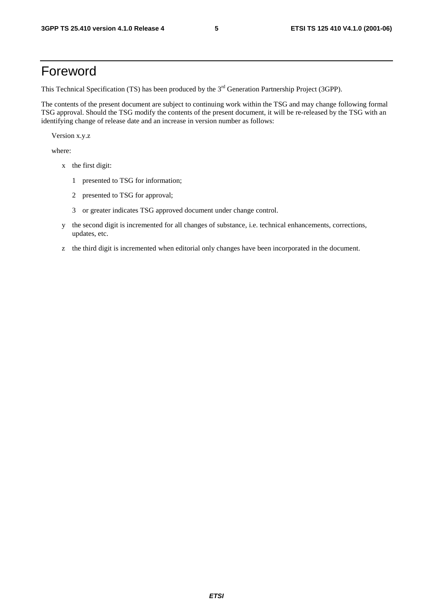# Foreword

This Technical Specification (TS) has been produced by the 3<sup>rd</sup> Generation Partnership Project (3GPP).

The contents of the present document are subject to continuing work within the TSG and may change following formal TSG approval. Should the TSG modify the contents of the present document, it will be re-released by the TSG with an identifying change of release date and an increase in version number as follows:

Version x.y.z

where:

- x the first digit:
	- 1 presented to TSG for information;
	- 2 presented to TSG for approval;
	- 3 or greater indicates TSG approved document under change control.
- y the second digit is incremented for all changes of substance, i.e. technical enhancements, corrections, updates, etc.
- z the third digit is incremented when editorial only changes have been incorporated in the document.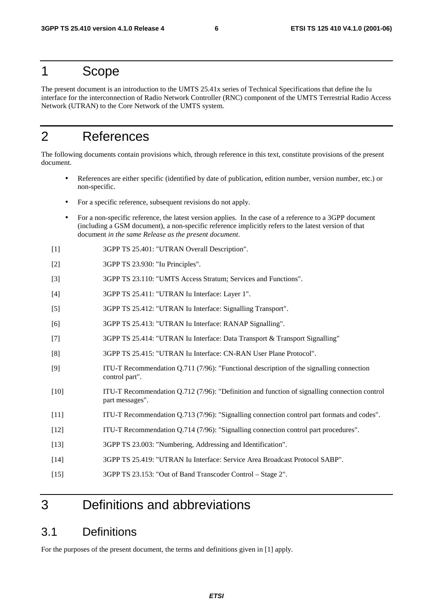# 1 Scope

The present document is an introduction to the UMTS 25.41x series of Technical Specifications that define the Iu interface for the interconnection of Radio Network Controller (RNC) component of the UMTS Terrestrial Radio Access Network (UTRAN) to the Core Network of the UMTS system.

# 2 References

The following documents contain provisions which, through reference in this text, constitute provisions of the present document.

- References are either specific (identified by date of publication, edition number, version number, etc.) or non-specific.
- For a specific reference, subsequent revisions do not apply.
- For a non-specific reference, the latest version applies. In the case of a reference to a 3GPP document (including a GSM document), a non-specific reference implicitly refers to the latest version of that document *in the same Release as the present document*.
- [1] 3GPP TS 25.401: "UTRAN Overall Description".
- [2] 3GPP TS 23.930: "Iu Principles".
- [3] 3GPP TS 23.110: "UMTS Access Stratum; Services and Functions".
- [4] 3GPP TS 25.411: "UTRAN Iu Interface: Layer 1".
- [5] 3GPP TS 25.412: "UTRAN Iu Interface: Signalling Transport".
- [6] 3GPP TS 25.413: "UTRAN Iu Interface: RANAP Signalling".
- [7] 3GPP TS 25.414: "UTRAN Iu Interface: Data Transport & Transport Signalling"
- [8] 3GPP TS 25.415: "UTRAN Iu Interface: CN-RAN User Plane Protocol".
- [9] ITU-T Recommendation Q.711 (7/96): "Functional description of the signalling connection control part".
- [10] ITU-T Recommendation Q.712 (7/96): "Definition and function of signalling connection control part messages".
- [11] ITU-T Recommendation Q.713 (7/96): "Signalling connection control part formats and codes".
- [12] ITU-T Recommendation Q.714 (7/96): "Signalling connection control part procedures".
- [13] 3GPP TS 23.003: "Numbering, Addressing and Identification".
- [14] 3GPP TS 25.419: "UTRAN Iu Interface: Service Area Broadcast Protocol SABP".
- [15] 3GPP TS 23.153: "Out of Band Transcoder Control Stage 2".

# 3 Definitions and abbreviations

# 3.1 Definitions

For the purposes of the present document, the terms and definitions given in [1] apply.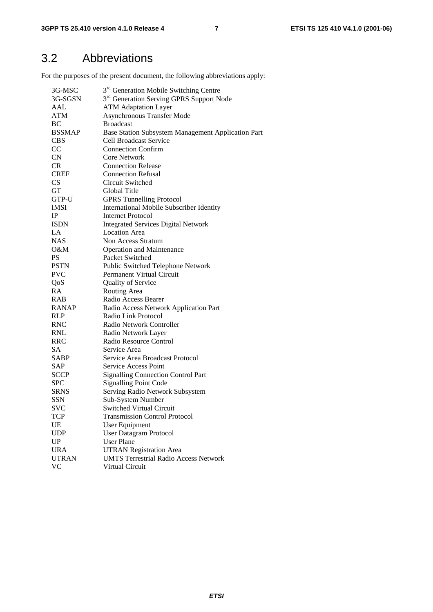# 3.2 Abbreviations

For the purposes of the present document, the following abbreviations apply:

| 3G-MSC                 | 3 <sup>rd</sup> Generation Mobile Switching Centre   |
|------------------------|------------------------------------------------------|
| 3G-SGSN                | 3 <sup>rd</sup> Generation Serving GPRS Support Node |
| AAL                    | <b>ATM Adaptation Layer</b>                          |
| <b>ATM</b>             | <b>Asynchronous Transfer Mode</b>                    |
| BC                     | <b>Broadcast</b>                                     |
| <b>BSSMAP</b>          | Base Station Subsystem Management Application Part   |
| <b>CBS</b>             | <b>Cell Broadcast Service</b>                        |
| CC                     | <b>Connection Confirm</b>                            |
| <b>CN</b>              | <b>Core Network</b>                                  |
| <b>CR</b>              | <b>Connection Release</b>                            |
| <b>CREF</b>            | <b>Connection Refusal</b>                            |
| <b>CS</b>              | Circuit Switched                                     |
| GT                     | Global Title                                         |
| GTP-U                  | <b>GPRS Tunnelling Protocol</b>                      |
| <b>IMSI</b>            | International Mobile Subscriber Identity             |
| IP                     | <b>Internet Protocol</b>                             |
| <b>ISDN</b>            | <b>Integrated Services Digital Network</b>           |
| LA                     | <b>Location Area</b>                                 |
| <b>NAS</b>             | Non Access Stratum                                   |
| O&M                    | <b>Operation and Maintenance</b>                     |
| PS                     | Packet Switched                                      |
| <b>PSTN</b>            | Public Switched Telephone Network                    |
| <b>PVC</b>             | Permanent Virtual Circuit                            |
| QoS                    | Quality of Service                                   |
| RA                     | Routing Area                                         |
| <b>RAB</b>             | Radio Access Bearer                                  |
| <b>RANAP</b>           | Radio Access Network Application Part                |
| <b>RLP</b>             | Radio Link Protocol                                  |
| <b>RNC</b>             | Radio Network Controller                             |
| <b>RNL</b>             | Radio Network Layer                                  |
| RRC                    | Radio Resource Control                               |
| <b>SA</b>              | Service Area                                         |
| <b>SABP</b>            | Service Area Broadcast Protocol                      |
| SAP                    | Service Access Point                                 |
| <b>SCCP</b>            | <b>Signalling Connection Control Part</b>            |
| <b>SPC</b>             | <b>Signalling Point Code</b>                         |
| <b>SRNS</b>            |                                                      |
| <b>SSN</b>             | Serving Radio Network Subsystem                      |
|                        | Sub-System Number                                    |
| <b>SVC</b>             | <b>Switched Virtual Circuit</b>                      |
| TCP                    | <b>Transmission Control Protocol</b>                 |
| UE                     | <b>User Equipment</b>                                |
| <b>UDP</b>             | <b>User Datagram Protocol</b>                        |
| $\mathbf{U}\mathbf{P}$ | <b>User Plane</b>                                    |
| <b>URA</b>             | <b>UTRAN Registration Area</b>                       |
| <b>UTRAN</b>           | <b>UMTS Terrestrial Radio Access Network</b>         |
| <b>VC</b>              | Virtual Circuit                                      |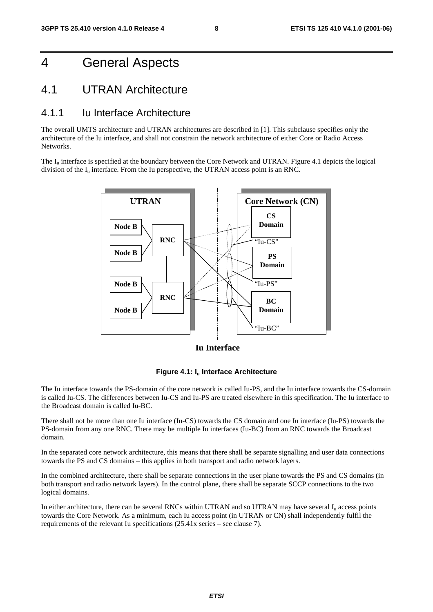# 4 General Aspects

### 4.1 UTRAN Architecture

### 4.1.1 Iu Interface Architecture

The overall UMTS architecture and UTRAN architectures are described in [1]. This subclause specifies only the architecture of the Iu interface, and shall not constrain the network architecture of either Core or Radio Access Networks.

The I<sub>u</sub> interface is specified at the boundary between the Core Network and UTRAN. Figure 4.1 depicts the logical division of the  $I_u$  interface. From the Iu perspective, the UTRAN access point is an RNC.



**Iu Interface**

#### **Figure 4.1: Iu Interface Architecture**

The Iu interface towards the PS-domain of the core network is called Iu-PS, and the Iu interface towards the CS-domain is called Iu-CS. The differences between Iu-CS and Iu-PS are treated elsewhere in this specification. The Iu interface to the Broadcast domain is called Iu-BC.

There shall not be more than one Iu interface (Iu-CS) towards the CS domain and one Iu interface (Iu-PS) towards the PS-domain from any one RNC. There may be multiple Iu interfaces (Iu-BC) from an RNC towards the Broadcast domain.

In the separated core network architecture, this means that there shall be separate signalling and user data connections towards the PS and CS domains – this applies in both transport and radio network layers.

In the combined architecture, there shall be separate connections in the user plane towards the PS and CS domains (in both transport and radio network layers). In the control plane, there shall be separate SCCP connections to the two logical domains.

In either architecture, there can be several RNCs within UTRAN and so UTRAN may have several  $I<sub>u</sub>$  access points towards the Core Network. As a minimum, each Iu access point (in UTRAN or CN) shall independently fulfil the requirements of the relevant Iu specifications (25.41x series – see clause 7).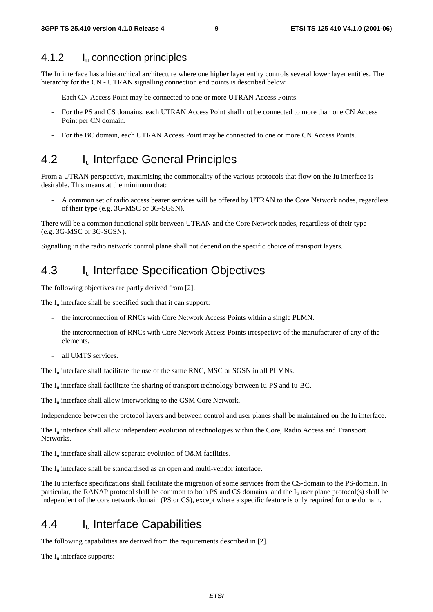### 4.1.2 I<sub>u</sub> connection principles

The Iu interface has a hierarchical architecture where one higher layer entity controls several lower layer entities. The hierarchy for the CN - UTRAN signalling connection end points is described below:

- Each CN Access Point may be connected to one or more UTRAN Access Points.
- For the PS and CS domains, each UTRAN Access Point shall not be connected to more than one CN Access Point per CN domain.
- For the BC domain, each UTRAN Access Point may be connected to one or more CN Access Points.

# 4.2 I<sub>u</sub> Interface General Principles

From a UTRAN perspective, maximising the commonality of the various protocols that flow on the Iu interface is desirable. This means at the minimum that:

- A common set of radio access bearer services will be offered by UTRAN to the Core Network nodes, regardless of their type (e.g. 3G-MSC or 3G-SGSN).

There will be a common functional split between UTRAN and the Core Network nodes, regardless of their type (e.g. 3G-MSC or 3G-SGSN).

Signalling in the radio network control plane shall not depend on the specific choice of transport layers.

# 4.3 I<sub>u</sub> Interface Specification Objectives

The following objectives are partly derived from [2].

The  $I_{\text{u}}$  interface shall be specified such that it can support:

- the interconnection of RNCs with Core Network Access Points within a single PLMN.
- the interconnection of RNCs with Core Network Access Points irrespective of the manufacturer of any of the elements.
- all UMTS services.

The  $I_{\rm u}$  interface shall facilitate the use of the same RNC, MSC or SGSN in all PLMNs.

The Iu interface shall facilitate the sharing of transport technology between Iu-PS and Iu-BC.

The  $I_{\text{u}}$  interface shall allow interworking to the GSM Core Network.

Independence between the protocol layers and between control and user planes shall be maintained on the Iu interface.

The I<sub>u</sub> interface shall allow independent evolution of technologies within the Core, Radio Access and Transport Networks.

The  $I_u$  interface shall allow separate evolution of O&M facilities.

The  $I_{\rm u}$  interface shall be standardised as an open and multi-vendor interface.

The Iu interface specifications shall facilitate the migration of some services from the CS-domain to the PS-domain. In particular, the RANAP protocol shall be common to both PS and CS domains, and the I<sub>u</sub> user plane protocol(s) shall be independent of the core network domain (PS or CS), except where a specific feature is only required for one domain.

# 4.4 I<sub>u</sub> Interface Capabilities

The following capabilities are derived from the requirements described in [2].

The  $I_u$  interface supports: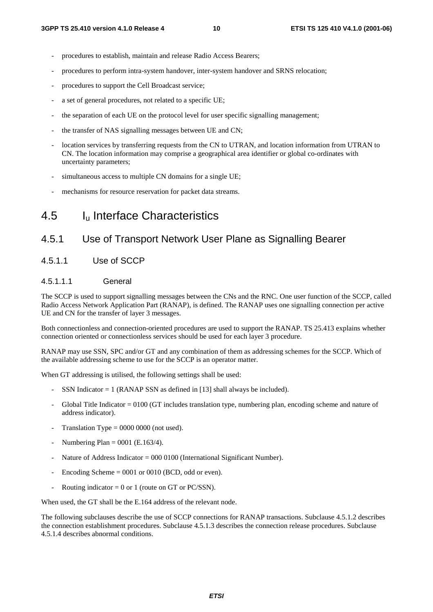- procedures to establish, maintain and release Radio Access Bearers;
- procedures to perform intra-system handover, inter-system handover and SRNS relocation;
- procedures to support the Cell Broadcast service;
- a set of general procedures, not related to a specific UE;
- the separation of each UE on the protocol level for user specific signalling management;
- the transfer of NAS signalling messages between UE and CN;
- location services by transferring requests from the CN to UTRAN, and location information from UTRAN to CN. The location information may comprise a geographical area identifier or global co-ordinates with uncertainty parameters;
- simultaneous access to multiple CN domains for a single UE;
- mechanisms for resource reservation for packet data streams.

### 4.5 Iu Interface Characteristics

#### 4.5.1 Use of Transport Network User Plane as Signalling Bearer

#### 4.5.1.1 Use of SCCP

#### 4.5.1.1.1 General

The SCCP is used to support signalling messages between the CNs and the RNC. One user function of the SCCP, called Radio Access Network Application Part (RANAP), is defined. The RANAP uses one signalling connection per active UE and CN for the transfer of layer 3 messages.

Both connectionless and connection-oriented procedures are used to support the RANAP. TS 25.413 explains whether connection oriented or connectionless services should be used for each layer 3 procedure.

RANAP may use SSN, SPC and/or GT and any combination of them as addressing schemes for the SCCP. Which of the available addressing scheme to use for the SCCP is an operator matter.

When GT addressing is utilised, the following settings shall be used:

- SSN Indicator  $= 1$  (RANAP SSN as defined in [13] shall always be included).
- Global Title Indicator = 0100 (GT includes translation type, numbering plan, encoding scheme and nature of address indicator).
- Translation Type  $= 0000 0000$  (not used).
- Numbering Plan =  $0001$  (E.163/4).
- Nature of Address Indicator =  $000\,0100$  (International Significant Number).
- Encoding Scheme  $= 0001$  or 0010 (BCD, odd or even).
- Routing indicator = 0 or 1 (route on GT or PC/SSN).

When used, the GT shall be the E.164 address of the relevant node.

The following subclauses describe the use of SCCP connections for RANAP transactions. Subclause 4.5.1.2 describes the connection establishment procedures. Subclause 4.5.1.3 describes the connection release procedures. Subclause 4.5.1.4 describes abnormal conditions.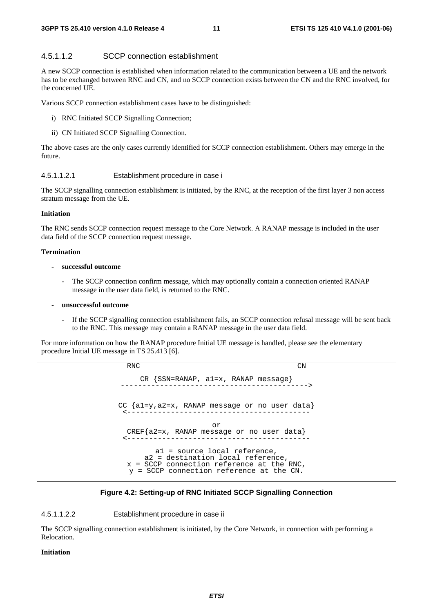#### 4.5.1.1.2 SCCP connection establishment

A new SCCP connection is established when information related to the communication between a UE and the network has to be exchanged between RNC and CN, and no SCCP connection exists between the CN and the RNC involved, for the concerned UE.

Various SCCP connection establishment cases have to be distinguished:

- i) RNC Initiated SCCP Signalling Connection;
- ii) CN Initiated SCCP Signalling Connection.

The above cases are the only cases currently identified for SCCP connection establishment. Others may emerge in the future.

#### 4.5.1.1.2.1 Establishment procedure in case i

The SCCP signalling connection establishment is initiated, by the RNC, at the reception of the first layer 3 non access stratum message from the UE.

#### **Initiation**

The RNC sends SCCP connection request message to the Core Network. A RANAP message is included in the user data field of the SCCP connection request message.

#### **Termination**

#### **- successful outcome**

The SCCP connection confirm message, which may optionally contain a connection oriented RANAP message in the user data field, is returned to the RNC.

#### **- unsuccessful outcome**

If the SCCP signalling connection establishment fails, an SCCP connection refusal message will be sent back to the RNC. This message may contain a RANAP message in the user data field.

For more information on how the RANAP procedure Initial UE message is handled, please see the elementary procedure Initial UE message in TS 25.413 [6].

> RNC CN CR {SSN=RANAP, a1=x, RANAP message} -------------------------------------------> CC {a1=y,a2=x, RANAP message or no user data} <----------------------------------------- or CREF{a2=x, RANAP message or no user data} <----------------------------------------- a1 = source local reference, a2 = destination local reference, x = SCCP connection reference at the RNC, y = SCCP connection reference at the CN.

#### **Figure 4.2: Setting-up of RNC Initiated SCCP Signalling Connection**

#### 4.5.1.1.2.2 Establishment procedure in case ii

The SCCP signalling connection establishment is initiated, by the Core Network, in connection with performing a Relocation.

#### **Initiation**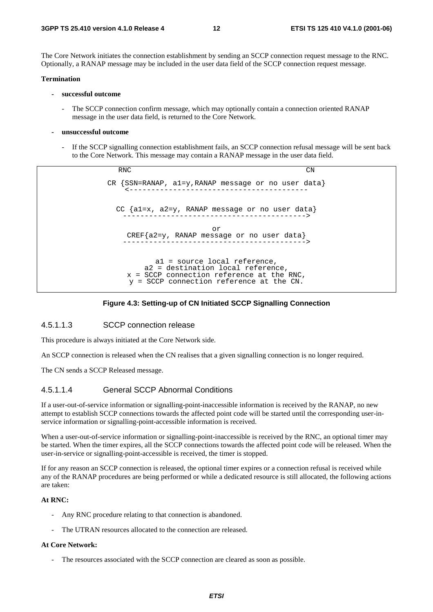The Core Network initiates the connection establishment by sending an SCCP connection request message to the RNC. Optionally, a RANAP message may be included in the user data field of the SCCP connection request message.

#### **Termination**

- **successful outcome** 
	- The SCCP connection confirm message, which may optionally contain a connection oriented RANAP message in the user data field, is returned to the Core Network.
- **unsuccessful outcome** 
	- If the SCCP signalling connection establishment fails, an SCCP connection refusal message will be sent back to the Core Network. This message may contain a RANAP message in the user data field.

RNC CN CR {SSN=RANAP, a1=y,RANAP message or no user data} <----------------------------------------- CC {a1=x, a2=y, RANAP message or no user data} ------------------------------------------> or CREF{a2=y, RANAP message or no user data} ------------------------------------------> a1 = source local reference, a2 = destination local reference, x = SCCP connection reference at the RNC, y = SCCP connection reference at the CN.

#### **Figure 4.3: Setting-up of CN Initiated SCCP Signalling Connection**

#### 4.5.1.1.3 SCCP connection release

This procedure is always initiated at the Core Network side.

An SCCP connection is released when the CN realises that a given signalling connection is no longer required.

The CN sends a SCCP Released message.

#### 4.5.1.1.4 General SCCP Abnormal Conditions

If a user-out-of-service information or signalling-point-inaccessible information is received by the RANAP, no new attempt to establish SCCP connections towards the affected point code will be started until the corresponding user-inservice information or signalling-point-accessible information is received.

When a user-out-of-service information or signalling-point-inaccessible is received by the RNC, an optional timer may be started. When the timer expires, all the SCCP connections towards the affected point code will be released. When the user-in-service or signalling-point-accessible is received, the timer is stopped.

If for any reason an SCCP connection is released, the optional timer expires or a connection refusal is received while any of the RANAP procedures are being performed or while a dedicated resource is still allocated, the following actions are taken:

#### **At RNC:**

- Any RNC procedure relating to that connection is abandoned.
- The UTRAN resources allocated to the connection are released.

#### **At Core Network:**

The resources associated with the SCCP connection are cleared as soon as possible.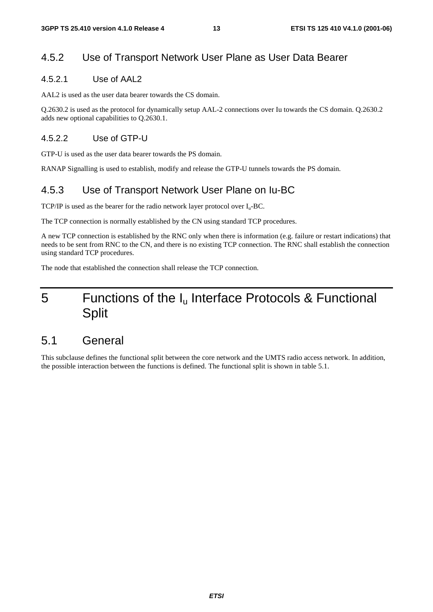### 4.5.2 Use of Transport Network User Plane as User Data Bearer

#### 4.5.2.1 Use of AAL2

AAL2 is used as the user data bearer towards the CS domain.

Q.2630.2 is used as the protocol for dynamically setup AAL-2 connections over Iu towards the CS domain. Q.2630.2 adds new optional capabilities to Q.2630.1.

#### 4.5.2.2 Use of GTP-U

GTP-U is used as the user data bearer towards the PS domain.

RANAP Signalling is used to establish, modify and release the GTP-U tunnels towards the PS domain.

### 4.5.3 Use of Transport Network User Plane on Iu-BC

TCP/IP is used as the bearer for the radio network layer protocol over  $I_u$ -BC.

The TCP connection is normally established by the CN using standard TCP procedures.

A new TCP connection is established by the RNC only when there is information (e.g. failure or restart indications) that needs to be sent from RNC to the CN, and there is no existing TCP connection. The RNC shall establish the connection using standard TCP procedures.

The node that established the connection shall release the TCP connection.

# 5 Functions of the Iu Interface Protocols & Functional Split

### 5.1 General

This subclause defines the functional split between the core network and the UMTS radio access network. In addition, the possible interaction between the functions is defined. The functional split is shown in table 5.1.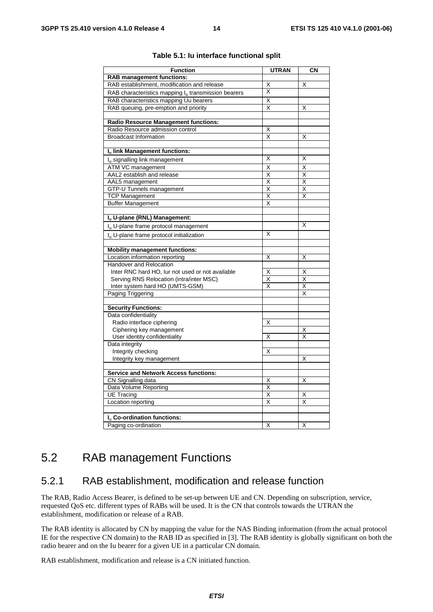| <b>Function</b>                                                 | <b>UTRAN</b>            | CN |  |  |  |  |
|-----------------------------------------------------------------|-------------------------|----|--|--|--|--|
| <b>RAB management functions:</b>                                |                         |    |  |  |  |  |
| RAB establishment, modification and release                     | Χ                       | X  |  |  |  |  |
| RAB characteristics mapping l <sub>u</sub> transmission bearers | X                       |    |  |  |  |  |
| RAB characteristics mapping Uu bearers                          | Χ                       |    |  |  |  |  |
| RAB queuing, pre-emption and priority                           | X                       | X  |  |  |  |  |
|                                                                 |                         |    |  |  |  |  |
| Radio Resource Management functions:                            |                         |    |  |  |  |  |
| Radio Resource admission control                                | Χ                       |    |  |  |  |  |
| <b>Broadcast Information</b>                                    | X                       | X  |  |  |  |  |
|                                                                 |                         |    |  |  |  |  |
| Iu link Management functions:                                   |                         |    |  |  |  |  |
| $Iu$ signalling link management                                 | X                       | X  |  |  |  |  |
| ATM VC management                                               | Χ                       | X  |  |  |  |  |
| AAL2 establish and release                                      | Χ                       | X  |  |  |  |  |
| AAL5 management                                                 | X                       | X  |  |  |  |  |
| <b>GTP-U Tunnels management</b>                                 | X                       | X  |  |  |  |  |
| <b>TCP Management</b>                                           | Χ                       | X  |  |  |  |  |
| <b>Buffer Management</b>                                        | X                       |    |  |  |  |  |
|                                                                 |                         |    |  |  |  |  |
| Iu U-plane (RNL) Management:                                    |                         |    |  |  |  |  |
| I <sub>n</sub> U-plane frame protocol management                |                         | X  |  |  |  |  |
| I <sub>u</sub> U-plane frame protocol initialization            | Χ                       |    |  |  |  |  |
|                                                                 |                         |    |  |  |  |  |
| <b>Mobility management functions:</b>                           |                         |    |  |  |  |  |
| Location information reporting                                  | Χ                       | X  |  |  |  |  |
| Handover and Relocation                                         |                         |    |  |  |  |  |
| Inter RNC hard HO, lur not used or not available                | X                       | Х  |  |  |  |  |
| Serving RNS Relocation (intra/inter MSC)                        | $\overline{\mathsf{x}}$ | Χ  |  |  |  |  |
| Inter system hard HO (UMTS-GSM)                                 | X                       | Χ  |  |  |  |  |
| Paging Triggering                                               |                         | X  |  |  |  |  |
|                                                                 |                         |    |  |  |  |  |
| <b>Security Functions:</b>                                      |                         |    |  |  |  |  |
| Data confidentiality                                            |                         |    |  |  |  |  |
| Radio interface ciphering                                       | Χ                       |    |  |  |  |  |
| Ciphering key management                                        |                         | Χ  |  |  |  |  |
| User identity confidentiality                                   | Χ                       | X  |  |  |  |  |
| Data integrity                                                  |                         |    |  |  |  |  |
| Integrity checking                                              | x                       |    |  |  |  |  |
| Integrity key management                                        |                         | X  |  |  |  |  |
|                                                                 |                         |    |  |  |  |  |
| <b>Service and Network Access functions:</b>                    |                         |    |  |  |  |  |
| CN Signalling data                                              | Χ                       | Χ  |  |  |  |  |
| Data Volume Reporting                                           | X                       |    |  |  |  |  |
| <b>UE Tracing</b>                                               | Χ                       | X  |  |  |  |  |
| Location reporting                                              | X                       | X  |  |  |  |  |
|                                                                 |                         |    |  |  |  |  |
| I <sub>n</sub> Co-ordination functions:                         |                         |    |  |  |  |  |
| Paging co-ordination                                            | Χ                       | X  |  |  |  |  |

#### **Table 5.1: Iu interface functional split**

### 5.2 RAB management Functions

#### 5.2.1 RAB establishment, modification and release function

The RAB, Radio Access Bearer, is defined to be set-up between UE and CN. Depending on subscription, service, requested QoS etc. different types of RABs will be used. It is the CN that controls towards the UTRAN the establishment, modification or release of a RAB.

The RAB identity is allocated by CN by mapping the value for the NAS Binding information (from the actual protocol IE for the respective CN domain) to the RAB ID as specified in [3]. The RAB identity is globally significant on both the radio bearer and on the Iu bearer for a given UE in a particular CN domain.

RAB establishment, modification and release is a CN initiated function.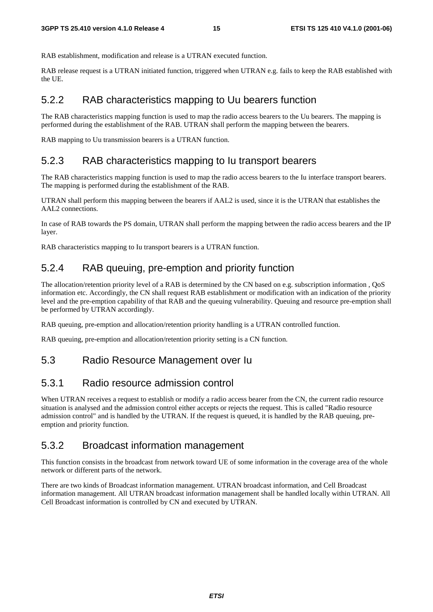RAB establishment, modification and release is a UTRAN executed function.

RAB release request is a UTRAN initiated function, triggered when UTRAN e.g. fails to keep the RAB established with the UE.

### 5.2.2 RAB characteristics mapping to Uu bearers function

The RAB characteristics mapping function is used to map the radio access bearers to the Uu bearers. The mapping is performed during the establishment of the RAB. UTRAN shall perform the mapping between the bearers.

RAB mapping to Uu transmission bearers is a UTRAN function.

### 5.2.3 RAB characteristics mapping to Iu transport bearers

The RAB characteristics mapping function is used to map the radio access bearers to the Iu interface transport bearers. The mapping is performed during the establishment of the RAB.

UTRAN shall perform this mapping between the bearers if AAL2 is used, since it is the UTRAN that establishes the AAL2 connections.

In case of RAB towards the PS domain, UTRAN shall perform the mapping between the radio access bearers and the IP layer.

RAB characteristics mapping to Iu transport bearers is a UTRAN function.

### 5.2.4 RAB queuing, pre-emption and priority function

The allocation/retention priority level of a RAB is determined by the CN based on e.g. subscription information , QoS information etc. Accordingly, the CN shall request RAB establishment or modification with an indication of the priority level and the pre-emption capability of that RAB and the queuing vulnerability. Queuing and resource pre-emption shall be performed by UTRAN accordingly.

RAB queuing, pre-emption and allocation/retention priority handling is a UTRAN controlled function.

RAB queuing, pre-emption and allocation/retention priority setting is a CN function.

### 5.3 Radio Resource Management over Iu

### 5.3.1 Radio resource admission control

When UTRAN receives a request to establish or modify a radio access bearer from the CN, the current radio resource situation is analysed and the admission control either accepts or rejects the request. This is called "Radio resource admission control" and is handled by the UTRAN. If the request is queued, it is handled by the RAB queuing, preemption and priority function.

### 5.3.2 Broadcast information management

This function consists in the broadcast from network toward UE of some information in the coverage area of the whole network or different parts of the network.

There are two kinds of Broadcast information management. UTRAN broadcast information, and Cell Broadcast information management. All UTRAN broadcast information management shall be handled locally within UTRAN. All Cell Broadcast information is controlled by CN and executed by UTRAN.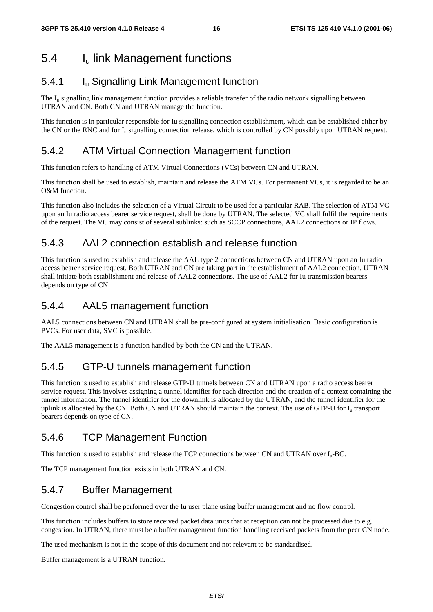# 5.4 Iu link Management functions

### 5.4.1 Iu Signalling Link Management function

The  $I<sub>u</sub>$  signalling link management function provides a reliable transfer of the radio network signalling between UTRAN and CN. Both CN and UTRAN manage the function.

This function is in particular responsible for Iu signalling connection establishment, which can be established either by the CN or the RNC and for  $I_u$  signalling connection release, which is controlled by CN possibly upon UTRAN request.

### 5.4.2 ATM Virtual Connection Management function

This function refers to handling of ATM Virtual Connections (VCs) between CN and UTRAN.

This function shall be used to establish, maintain and release the ATM VCs. For permanent VCs, it is regarded to be an O&M function.

This function also includes the selection of a Virtual Circuit to be used for a particular RAB. The selection of ATM VC upon an Iu radio access bearer service request, shall be done by UTRAN. The selected VC shall fulfil the requirements of the request. The VC may consist of several sublinks: such as SCCP connections, AAL2 connections or IP flows.

### 5.4.3 AAL2 connection establish and release function

This function is used to establish and release the AAL type 2 connections between CN and UTRAN upon an Iu radio access bearer service request. Both UTRAN and CN are taking part in the establishment of AAL2 connection. UTRAN shall initiate both establishment and release of AAL2 connections. The use of AAL2 for Iu transmission bearers depends on type of CN.

### 5.4.4 AAL5 management function

AAL5 connections between CN and UTRAN shall be pre-configured at system initialisation. Basic configuration is PVCs. For user data, SVC is possible.

The AAL5 management is a function handled by both the CN and the UTRAN.

### 5.4.5 GTP-U tunnels management function

This function is used to establish and release GTP-U tunnels between CN and UTRAN upon a radio access bearer service request. This involves assigning a tunnel identifier for each direction and the creation of a context containing the tunnel information. The tunnel identifier for the downlink is allocated by the UTRAN, and the tunnel identifier for the uplink is allocated by the CN. Both CN and UTRAN should maintain the context. The use of GTP-U for  $I<sub>u</sub>$  transport bearers depends on type of CN.

### 5.4.6 TCP Management Function

This function is used to establish and release the TCP connections between CN and UTRAN over  $I_u$ -BC.

The TCP management function exists in both UTRAN and CN.

### 5.4.7 Buffer Management

Congestion control shall be performed over the Iu user plane using buffer management and no flow control.

This function includes buffers to store received packet data units that at reception can not be processed due to e.g. congestion. In UTRAN, there must be a buffer management function handling received packets from the peer CN node.

The used mechanism is not in the scope of this document and not relevant to be standardised.

Buffer management is a UTRAN function.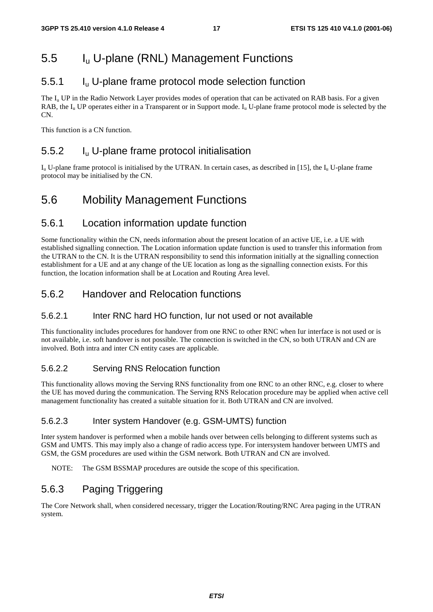# 5.5 Iu U-plane (RNL) Management Functions

### 5.5.1 Iu U-plane frame protocol mode selection function

The  $I_u$  UP in the Radio Network Layer provides modes of operation that can be activated on RAB basis. For a given RAB, the  $I_{\rm u}$  UP operates either in a Transparent or in Support mode.  $I_{\rm u}$  U-plane frame protocol mode is selected by the  $\overline{CN}$ 

This function is a CN function.

### 5.5.2 Iu U-plane frame protocol initialisation

 $I_{\rm u}$  U-plane frame protocol is initialised by the UTRAN. In certain cases, as described in [15], the  $I_{\rm u}$  U-plane frame protocol may be initialised by the CN.

# 5.6 Mobility Management Functions

### 5.6.1 Location information update function

Some functionality within the CN, needs information about the present location of an active UE, i.e. a UE with established signalling connection. The Location information update function is used to transfer this information from the UTRAN to the CN. It is the UTRAN responsibility to send this information initially at the signalling connection establishment for a UE and at any change of the UE location as long as the signalling connection exists. For this function, the location information shall be at Location and Routing Area level.

### 5.6.2 Handover and Relocation functions

#### 5.6.2.1 Inter RNC hard HO function, Iur not used or not available

This functionality includes procedures for handover from one RNC to other RNC when Iur interface is not used or is not available, i.e. soft handover is not possible. The connection is switched in the CN, so both UTRAN and CN are involved. Both intra and inter CN entity cases are applicable.

#### 5.6.2.2 Serving RNS Relocation function

This functionality allows moving the Serving RNS functionality from one RNC to an other RNC, e.g. closer to where the UE has moved during the communication. The Serving RNS Relocation procedure may be applied when active cell management functionality has created a suitable situation for it. Both UTRAN and CN are involved.

#### 5.6.2.3 Inter system Handover (e.g. GSM-UMTS) function

Inter system handover is performed when a mobile hands over between cells belonging to different systems such as GSM and UMTS. This may imply also a change of radio access type. For intersystem handover between UMTS and GSM, the GSM procedures are used within the GSM network. Both UTRAN and CN are involved.

NOTE: The GSM BSSMAP procedures are outside the scope of this specification.

### 5.6.3 Paging Triggering

The Core Network shall, when considered necessary, trigger the Location/Routing/RNC Area paging in the UTRAN system.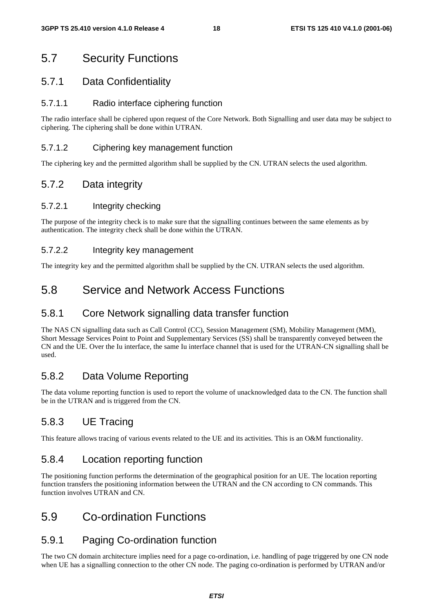# 5.7 Security Functions

### 5.7.1 Data Confidentiality

#### 5.7.1.1 Radio interface ciphering function

The radio interface shall be ciphered upon request of the Core Network. Both Signalling and user data may be subject to ciphering. The ciphering shall be done within UTRAN.

#### 5.7.1.2 Ciphering key management function

The ciphering key and the permitted algorithm shall be supplied by the CN. UTRAN selects the used algorithm.

### 5.7.2 Data integrity

#### 5.7.2.1 Integrity checking

The purpose of the integrity check is to make sure that the signalling continues between the same elements as by authentication. The integrity check shall be done within the UTRAN.

#### 5.7.2.2 Integrity key management

The integrity key and the permitted algorithm shall be supplied by the CN. UTRAN selects the used algorithm.

# 5.8 Service and Network Access Functions

### 5.8.1 Core Network signalling data transfer function

The NAS CN signalling data such as Call Control (CC), Session Management (SM), Mobility Management (MM), Short Message Services Point to Point and Supplementary Services (SS) shall be transparently conveyed between the CN and the UE. Over the Iu interface, the same Iu interface channel that is used for the UTRAN-CN signalling shall be used.

### 5.8.2 Data Volume Reporting

The data volume reporting function is used to report the volume of unacknowledged data to the CN. The function shall be in the UTRAN and is triggered from the CN.

### 5.8.3 UE Tracing

This feature allows tracing of various events related to the UE and its activities. This is an O&M functionality.

### 5.8.4 Location reporting function

The positioning function performs the determination of the geographical position for an UE. The location reporting function transfers the positioning information between the UTRAN and the CN according to CN commands. This function involves UTRAN and CN.

### 5.9 Co-ordination Functions

### 5.9.1 Paging Co-ordination function

The two CN domain architecture implies need for a page co-ordination, i.e. handling of page triggered by one CN node when UE has a signalling connection to the other CN node. The paging co-ordination is performed by UTRAN and/or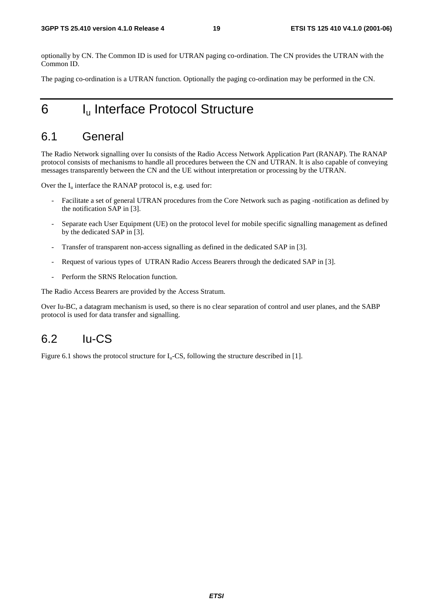optionally by CN. The Common ID is used for UTRAN paging co-ordination. The CN provides the UTRAN with the Common ID.

The paging co-ordination is a UTRAN function. Optionally the paging co-ordination may be performed in the CN.

# 6 I<sub>u</sub> Interface Protocol Structure

### 6.1 General

The Radio Network signalling over Iu consists of the Radio Access Network Application Part (RANAP). The RANAP protocol consists of mechanisms to handle all procedures between the CN and UTRAN. It is also capable of conveying messages transparently between the CN and the UE without interpretation or processing by the UTRAN.

Over the  $I_u$  interface the RANAP protocol is, e.g. used for:

- Facilitate a set of general UTRAN procedures from the Core Network such as paging -notification as defined by the notification SAP in [3].
- Separate each User Equipment (UE) on the protocol level for mobile specific signalling management as defined by the dedicated SAP in [3].
- Transfer of transparent non-access signalling as defined in the dedicated SAP in [3].
- Request of various types of UTRAN Radio Access Bearers through the dedicated SAP in [3].
- Perform the SRNS Relocation function.

The Radio Access Bearers are provided by the Access Stratum.

Over Iu-BC, a datagram mechanism is used, so there is no clear separation of control and user planes, and the SABP protocol is used for data transfer and signalling.

### $6.2$  Iu-CS

Figure 6.1 shows the protocol structure for  $I_u$ -CS, following the structure described in [1].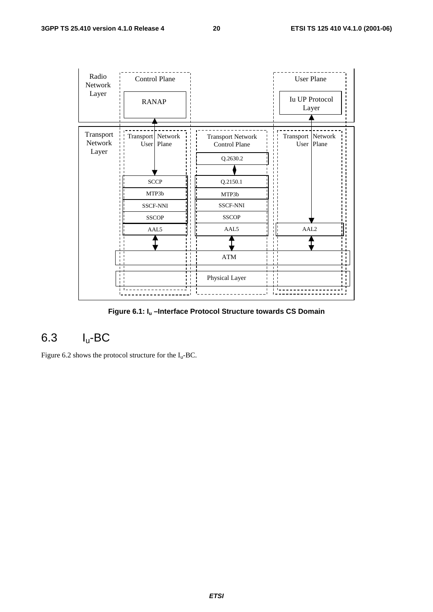

**Figure 6.1: Iu –Interface Protocol Structure towards CS Domain** 

# 6.3 Iu-BC

Figure 6.2 shows the protocol structure for the  $I_u$ -BC.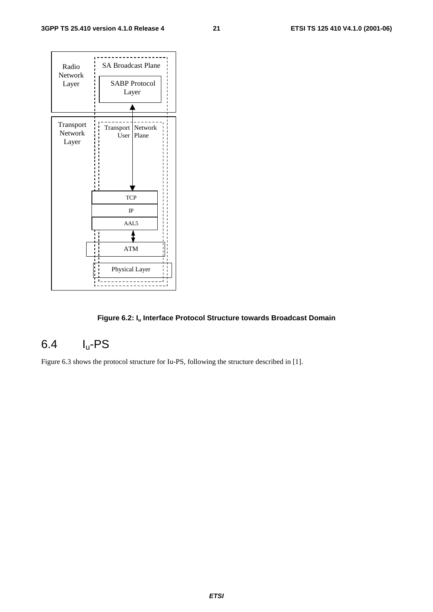

#### Figure 6.2: I<sub>u</sub> Interface Protocol Structure towards Broadcast Domain

# 6.4 Iu-PS

Figure 6.3 shows the protocol structure for Iu-PS, following the structure described in [1].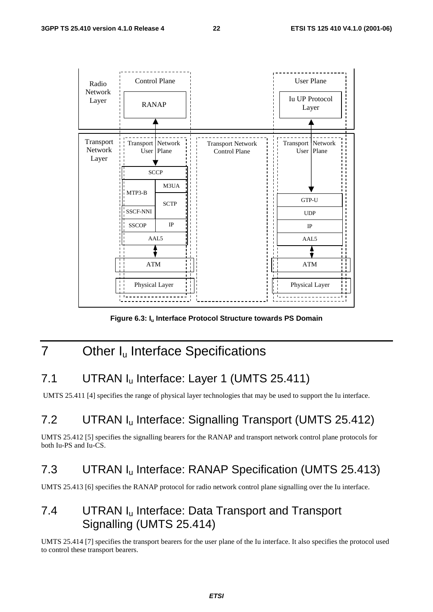

Figure 6.3: I<sub>u</sub> Interface Protocol Structure towards PS Domain

# 7 Other I<sub>u</sub> Interface Specifications

# 7.1 UTRAN I<sub>u</sub> Interface: Layer 1 (UMTS 25.411)

UMTS 25.411 [4] specifies the range of physical layer technologies that may be used to support the Iu interface.

# 7.2 UTRAN Iu Interface: Signalling Transport (UMTS 25.412)

UMTS 25.412 [5] specifies the signalling bearers for the RANAP and transport network control plane protocols for both Iu-PS and Iu-CS.

### 7.3 UTRAN Iu Interface: RANAP Specification (UMTS 25.413)

UMTS 25.413 [6] specifies the RANAP protocol for radio network control plane signalling over the Iu interface.

# 7.4 UTRAN I<sub>u</sub> Interface: Data Transport and Transport Signalling (UMTS 25.414)

UMTS 25.414 [7] specifies the transport bearers for the user plane of the Iu interface. It also specifies the protocol used to control these transport bearers.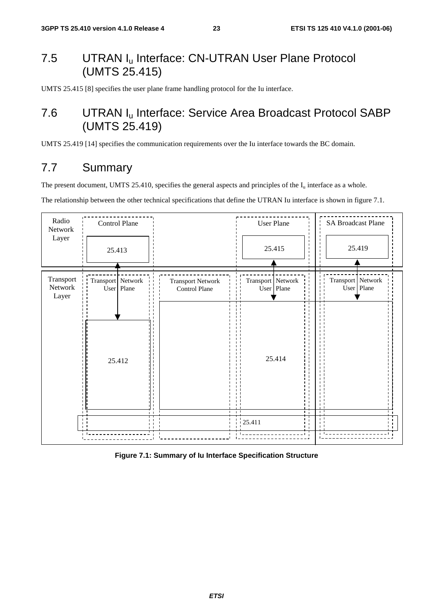# 7.5 UTRAN I<sub>u</sub> Interface: CN-UTRAN User Plane Protocol (UMTS 25.415)

UMTS 25.415 [8] specifies the user plane frame handling protocol for the Iu interface.

# 7.6 UTRAN Iu Interface: Service Area Broadcast Protocol SABP (UMTS 25.419)

UMTS 25.419 [14] specifies the communication requirements over the Iu interface towards the BC domain.

# 7.7 Summary

The present document, UMTS 25.410, specifies the general aspects and principles of the  $I_u$  interface as a whole.

The relationship between the other technical specifications that define the UTRAN Iu interface is shown in figure 7.1.



**Figure 7.1: Summary of Iu Interface Specification Structure**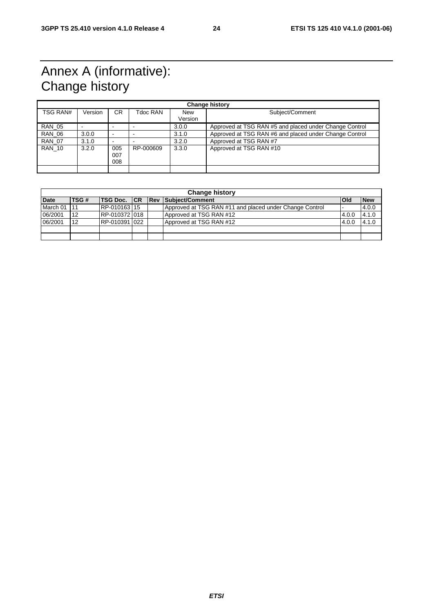# Annex A (informative): Change history

| <b>Change history</b> |         |                   |           |                       |                                                        |  |
|-----------------------|---------|-------------------|-----------|-----------------------|--------------------------------------------------------|--|
| TSG RAN#              | Version | CR.               | Tdoc RAN  | <b>New</b><br>Version | Subject/Comment                                        |  |
| <b>RAN 05</b>         |         |                   |           | 3.0.0                 | Approved at TSG RAN #5 and placed under Change Control |  |
| <b>RAN 06</b>         | 3.0.0   |                   |           | 3.1.0                 | Approved at TSG RAN #6 and placed under Change Control |  |
| <b>RAN 07</b>         | 3.1.0   |                   |           | 3.2.0                 | Approved at TSG RAN #7                                 |  |
| <b>RAN 10</b>         | 3.2.0   | 005<br>007<br>008 | RP-000609 | 3.3.0                 | Approved at TSG RAN #10                                |  |
|                       |         |                   |           |                       |                                                        |  |

|             | <b>Change history</b> |               |  |  |                                                         |            |            |
|-------------|-----------------------|---------------|--|--|---------------------------------------------------------|------------|------------|
| <b>Date</b> | TSG#                  |               |  |  | <b>ITSG Doc. ICR IRev Subject/Comment</b>               | <b>Old</b> | <b>New</b> |
| March 01    | 11                    | RP-010163115  |  |  | Approved at TSG RAN #11 and placed under Change Control |            | 4.0.0      |
| 06/2001     | 12                    | RP-010372 018 |  |  | Approved at TSG RAN #12                                 | 4.0.0      | 4.1.0      |
| 06/2001     | 12                    | RP-010391 022 |  |  | Approved at TSG RAN #12                                 | 4.0.0      | 4.1.0      |
|             |                       |               |  |  |                                                         |            |            |
|             |                       |               |  |  |                                                         |            |            |